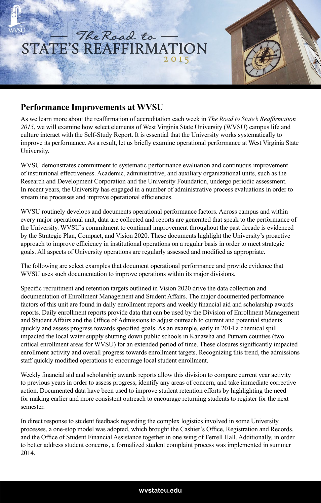

## **Performance Improvements at WVSU**

As we learn more about the reaffirmation of accreditation each week in *The Road to State's Reaffirmation 2015*, we will examine how select elements of West Virginia State University (WVSU) campus life and culture interact with the Self-Study Report. It is essential that the University works systematically to improve its performance. As a result, let us briefly examine operational performance at West Virginia State University.

WVSU demonstrates commitment to systematic performance evaluation and continuous improvement of institutional effectiveness. Academic, administrative, and auxiliary organizational units, such as the Research and Development Corporation and the University Foundation, undergo periodic assessment. In recent years, the University has engaged in a number of administrative process evaluations in order to streamline processes and improve operational efficiencies.

WVSU routinely develops and documents operational performance factors. Across campus and within every major operational unit, data are collected and reports are generated that speak to the performance of the University. WVSU's commitment to continual improvement throughout the past decade is evidenced by the Strategic Plan, Compact, and Vision 2020. These documents highlight the University's proactive approach to improve efficiency in institutional operations on a regular basis in order to meet strategic goals. All aspects of University operations are regularly assessed and modified as appropriate.

The following are select examples that document operational performance and provide evidence that WVSU uses such documentation to improve operations within its major divisions.

Specific recruitment and retention targets outlined in Vision 2020 drive the data collection and documentation of Enrollment Management and Student Affairs. The major documented performance factors of this unit are found in daily enrollment reports and weekly financial aid and scholarship awards reports. Daily enrollment reports provide data that can be used by the Division of Enrollment Management and Student Affairs and the Office of Admissions to adjust outreach to current and potential students quickly and assess progress towards specified goals. As an example, early in 2014 a chemical spill impacted the local water supply shutting down public schools in Kanawha and Putnam counties (two critical enrollment areas for WVSU) for an extended period of time. These closures significantly impacted enrollment activity and overall progress towards enrollment targets. Recognizing this trend, the admissions staff quickly modified operations to encourage local student enrollment.

Weekly financial aid and scholarship awards reports allow this division to compare current year activity to previous years in order to assess progress, identify any areas of concern, and take immediate corrective action. Documented data have been used to improve student retention efforts by highlighting the need for making earlier and more consistent outreach to encourage returning students to register for the next semester.

In direct response to student feedback regarding the complex logistics involved in some University processes, a one-stop model was adopted, which brought the Cashier's Office, Registration and Records, and the Office of Student Financial Assistance together in one wing of Ferrell Hall. Additionally, in order to better address student concerns, a formalized student complaint process was implemented in summer 2014.